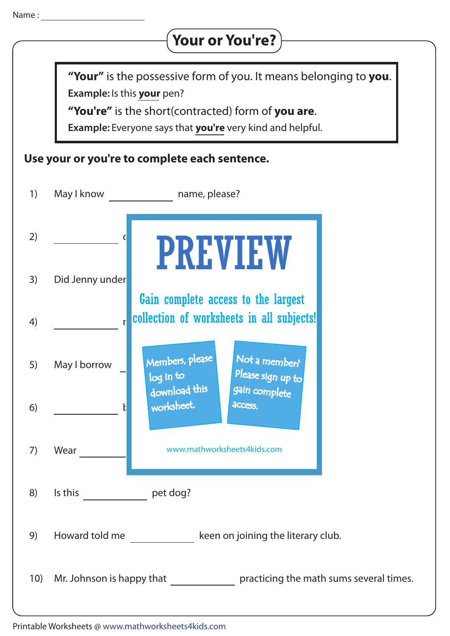## **Your or You're?**

**Example:** Is this **your** pen? **"Your"** is the possessive form of you. It means belonging to **you**.

**"You're"** is the short(contracted) form of **you are**.

**Example:** Everyone says that **you're** very kind and helpful.